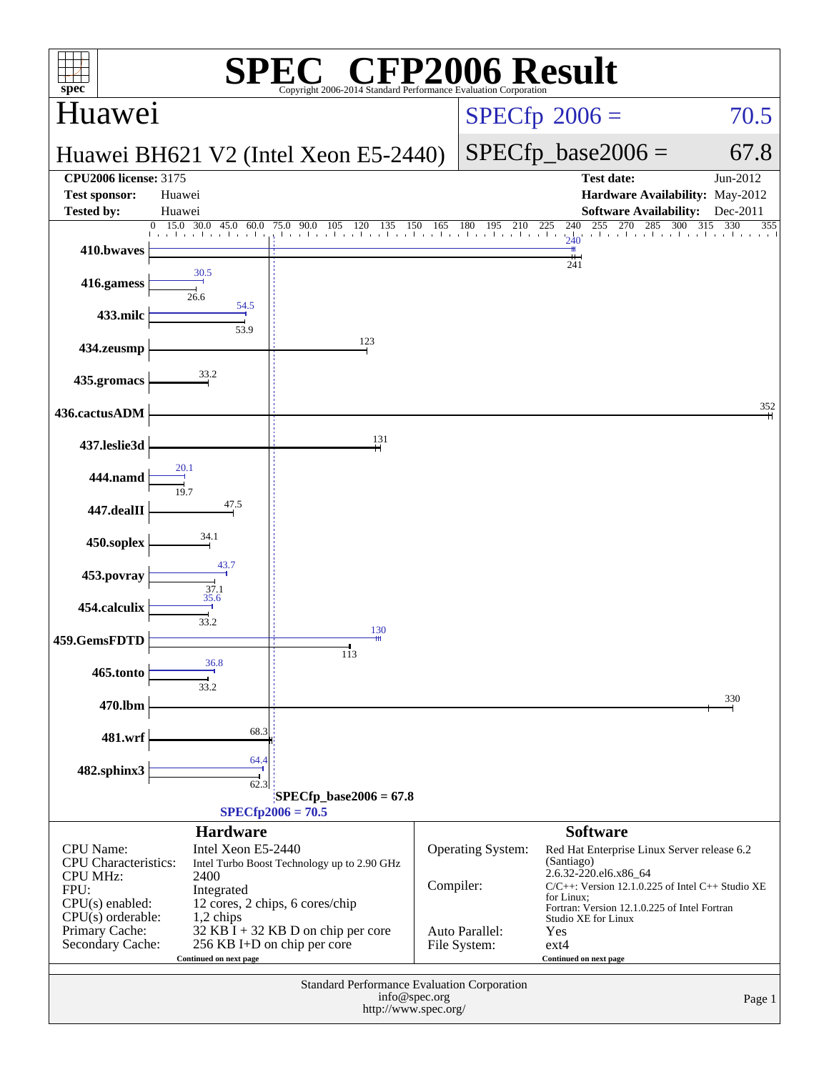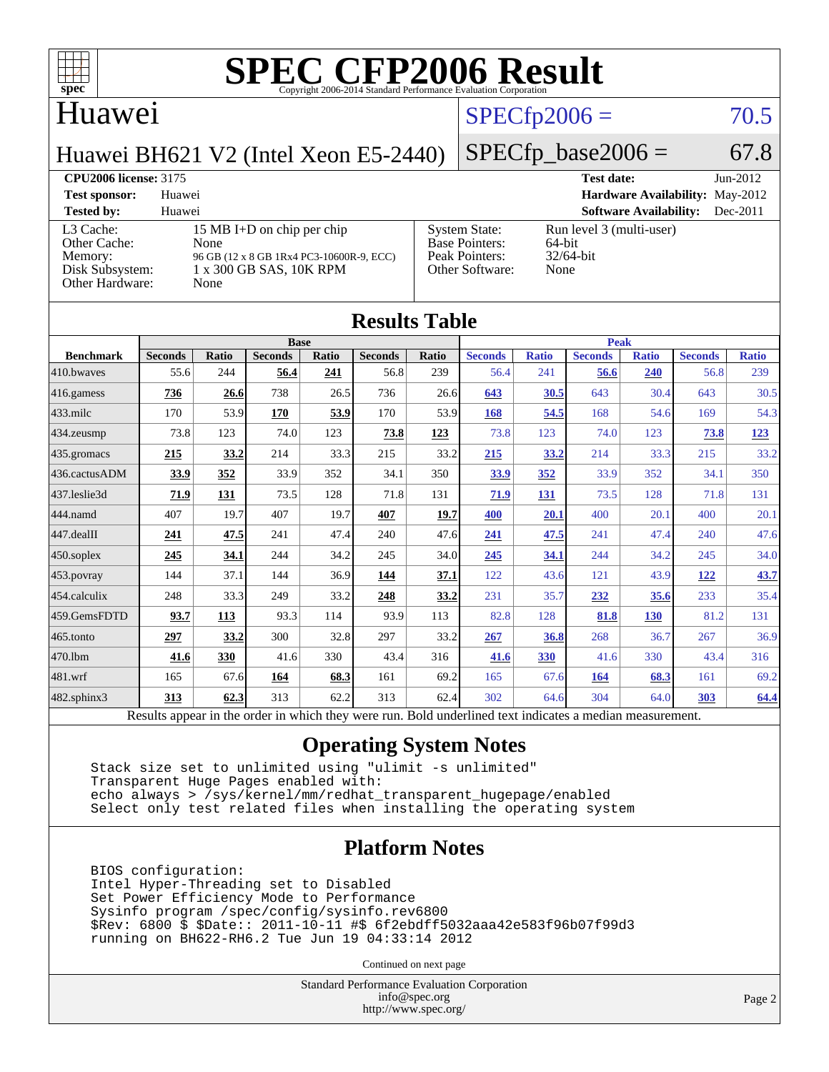

#### Huawei

### $SPECfp2006 = 70.5$  $SPECfp2006 = 70.5$

Huawei BH621 V2 (Intel Xeon E5-2440)

## $SPECfp\_base2006 = 67.8$

**[CPU2006 license:](http://www.spec.org/auto/cpu2006/Docs/result-fields.html#CPU2006license)** 3175 **[Test date:](http://www.spec.org/auto/cpu2006/Docs/result-fields.html#Testdate)** Jun-2012 **[Test sponsor:](http://www.spec.org/auto/cpu2006/Docs/result-fields.html#Testsponsor)** Huawei **[Hardware Availability:](http://www.spec.org/auto/cpu2006/Docs/result-fields.html#HardwareAvailability)** May-2012 **[Tested by:](http://www.spec.org/auto/cpu2006/Docs/result-fields.html#Testedby)** Huawei **[Software Availability:](http://www.spec.org/auto/cpu2006/Docs/result-fields.html#SoftwareAvailability)** Dec-2011 [L3 Cache:](http://www.spec.org/auto/cpu2006/Docs/result-fields.html#L3Cache) 15 MB I+D on chip per chip<br>Other Cache: None [Other Cache:](http://www.spec.org/auto/cpu2006/Docs/result-fields.html#OtherCache) [Memory:](http://www.spec.org/auto/cpu2006/Docs/result-fields.html#Memory) 96 GB (12 x 8 GB 1Rx4 PC3-10600R-9, ECC) [Disk Subsystem:](http://www.spec.org/auto/cpu2006/Docs/result-fields.html#DiskSubsystem) 1 x 300 GB SAS, 10K RPM [Other Hardware:](http://www.spec.org/auto/cpu2006/Docs/result-fields.html#OtherHardware) None [System State:](http://www.spec.org/auto/cpu2006/Docs/result-fields.html#SystemState) Run level 3 (multi-user)<br>Base Pointers: 64-bit [Base Pointers:](http://www.spec.org/auto/cpu2006/Docs/result-fields.html#BasePointers) 64-bit<br>Peak Pointers: 32/64-bit [Peak Pointers:](http://www.spec.org/auto/cpu2006/Docs/result-fields.html#PeakPointers) [Other Software:](http://www.spec.org/auto/cpu2006/Docs/result-fields.html#OtherSoftware) None

| <b>Results Table</b> |                                                                                                          |       |                |       |                |       |                |              |                |              |                |              |
|----------------------|----------------------------------------------------------------------------------------------------------|-------|----------------|-------|----------------|-------|----------------|--------------|----------------|--------------|----------------|--------------|
|                      | <b>Base</b>                                                                                              |       |                |       |                |       | <b>Peak</b>    |              |                |              |                |              |
| <b>Benchmark</b>     | <b>Seconds</b>                                                                                           | Ratio | <b>Seconds</b> | Ratio | <b>Seconds</b> | Ratio | <b>Seconds</b> | <b>Ratio</b> | <b>Seconds</b> | <b>Ratio</b> | <b>Seconds</b> | <b>Ratio</b> |
| 410.bwayes           | 55.6                                                                                                     | 244   | 56.4           | 241   | 56.8           | 239   | 56.4           | 241          | 56.6           | 240          | 56.8           | 239          |
| $416$ .gamess        | 736                                                                                                      | 26.6  | 738            | 26.5  | 736            | 26.6  | 643            | 30.5         | 643            | 30.4         | 643            | 30.5         |
| 433.milc             | 170                                                                                                      | 53.9  | 170            | 53.9  | 170            | 53.9  | 168            | 54.5         | 168            | 54.6         | 169            | 54.3         |
| 434.zeusmp           | 73.8                                                                                                     | 123   | 74.0           | 123   | 73.8           | 123   | 73.8           | 123          | 74.0           | 123          | 73.8           | <u>123</u>   |
| 435.gromacs          | 215                                                                                                      | 33.2  | 214            | 33.3  | 215            | 33.2  | 215            | 33.2         | 214            | 33.3         | 215            | 33.2         |
| 436.cactusADM        | 33.9                                                                                                     | 352   | 33.9           | 352   | 34.1           | 350   | 33.9           | 352          | 33.9           | 352          | 34.1           | 350          |
| 437.leslie3d         | 71.9                                                                                                     | 131   | 73.5           | 128   | 71.8           | 131   | 71.9           | 131          | 73.5           | 128          | 71.8           | 131          |
| 444.namd             | 407                                                                                                      | 19.7  | 407            | 19.7  | 407            | 19.7  | 400            | 20.1         | 400            | 20.1         | 400            | 20.1         |
| $447$ .dealII        | 241                                                                                                      | 47.5  | 241            | 47.4  | 240            | 47.6  | 241            | 47.5         | 241            | 47.4         | 240            | 47.6         |
| $450$ .soplex        | 245                                                                                                      | 34.1  | 244            | 34.2  | 245            | 34.0  | 245            | 34.1         | 244            | 34.2         | 245            | 34.0         |
| $453$ .povray        | 144                                                                                                      | 37.1  | 144            | 36.9  | 144            | 37.1  | 122            | 43.6         | 121            | 43.9         | <u>122</u>     | 43.7         |
| 454.calculix         | 248                                                                                                      | 33.3  | 249            | 33.2  | 248            | 33.2  | 231            | 35.7         | 232            | 35.6         | 233            | 35.4         |
| 459.GemsFDTD         | 93.7                                                                                                     | 113   | 93.3           | 114   | 93.9           | 113   | 82.8           | 128          | 81.8           | 130          | 81.2           | 131          |
| $465$ .tonto         | 297                                                                                                      | 33.2  | 300            | 32.8  | 297            | 33.2  | 267            | 36.8         | 268            | 36.7         | 267            | 36.9         |
| 470.1bm              | 41.6                                                                                                     | 330   | 41.6           | 330   | 43.4           | 316   | 41.6           | 330          | 41.6           | 330          | 43.4           | 316          |
| 481.wrf              | 165                                                                                                      | 67.6  | 164            | 68.3  | 161            | 69.2  | 165            | 67.6         | 164            | 68.3         | 161            | 69.2         |
| $482$ .sphinx $3$    | 313                                                                                                      | 62.3  | 313            | 62.2  | 313            | 62.4  | 302            | 64.6         | 304            | 64.0         | 303            | 64.4         |
|                      | Results appear in the order in which they were run. Bold underlined text indicates a median measurement. |       |                |       |                |       |                |              |                |              |                |              |

#### **[Operating System Notes](http://www.spec.org/auto/cpu2006/Docs/result-fields.html#OperatingSystemNotes)**

 Stack size set to unlimited using "ulimit -s unlimited" Transparent Huge Pages enabled with: echo always > /sys/kernel/mm/redhat\_transparent\_hugepage/enabled Select only test related files when installing the operating system

#### **[Platform Notes](http://www.spec.org/auto/cpu2006/Docs/result-fields.html#PlatformNotes)**

 BIOS configuration: Intel Hyper-Threading set to Disabled Set Power Efficiency Mode to Performance Sysinfo program /spec/config/sysinfo.rev6800 \$Rev: 6800 \$ \$Date:: 2011-10-11 #\$ 6f2ebdff5032aaa42e583f96b07f99d3 running on BH622-RH6.2 Tue Jun 19 04:33:14 2012

Continued on next page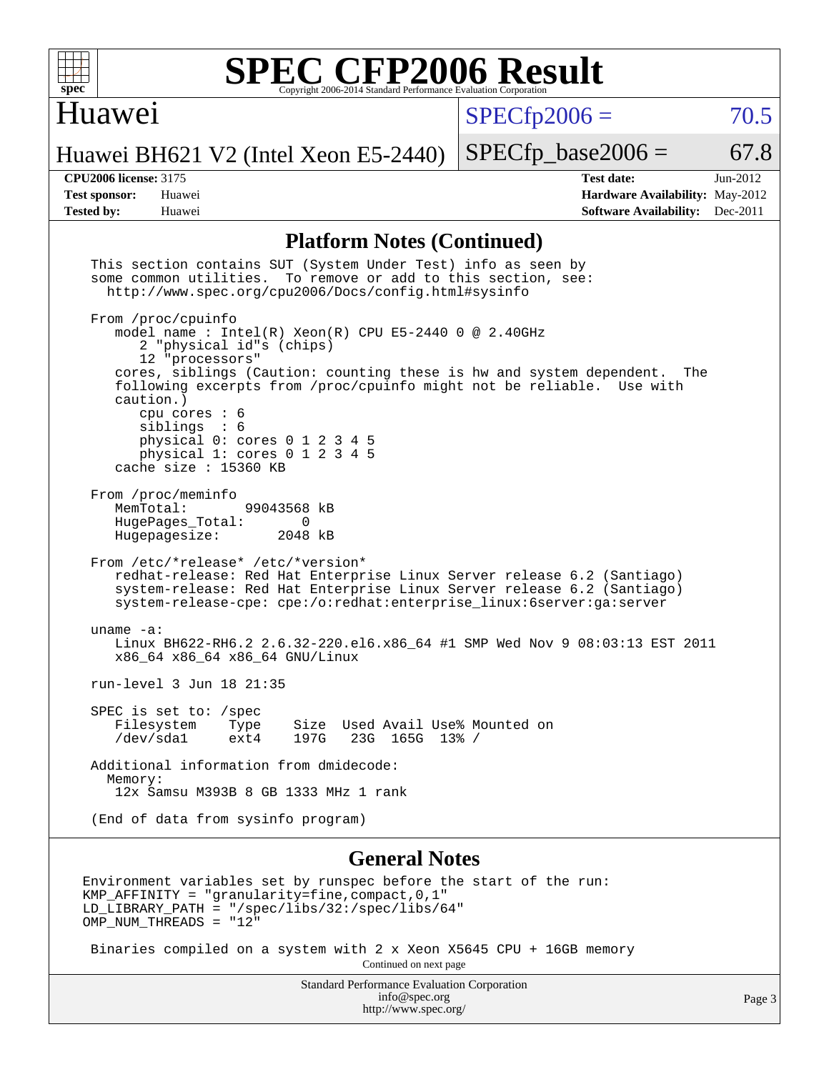

#### Huawei

 $SPECTp2006 = 70.5$ 

Huawei BH621 V2 (Intel Xeon E5-2440)

 $SPECTp\_base2006 = 67.8$ 

#### **[CPU2006 license:](http://www.spec.org/auto/cpu2006/Docs/result-fields.html#CPU2006license)** 3175 **[Test date:](http://www.spec.org/auto/cpu2006/Docs/result-fields.html#Testdate)** Jun-2012

**[Test sponsor:](http://www.spec.org/auto/cpu2006/Docs/result-fields.html#Testsponsor)** Huawei **[Hardware Availability:](http://www.spec.org/auto/cpu2006/Docs/result-fields.html#HardwareAvailability)** May-2012 **[Tested by:](http://www.spec.org/auto/cpu2006/Docs/result-fields.html#Testedby)** Huawei **[Software Availability:](http://www.spec.org/auto/cpu2006/Docs/result-fields.html#SoftwareAvailability)** Dec-2011

#### **[Platform Notes \(Continued\)](http://www.spec.org/auto/cpu2006/Docs/result-fields.html#PlatformNotes)**

 This section contains SUT (System Under Test) info as seen by some common utilities. To remove or add to this section, see: <http://www.spec.org/cpu2006/Docs/config.html#sysinfo> From /proc/cpuinfo model name : Intel(R) Xeon(R) CPU E5-2440 0 @ 2.40GHz 2 "physical id"s (chips) 12 "processors" cores, siblings (Caution: counting these is hw and system dependent. The following excerpts from /proc/cpuinfo might not be reliable. Use with caution.) cpu cores : 6<br>siblings : 6 siblings physical 0: cores 0 1 2 3 4 5 physical 1: cores 0 1 2 3 4 5 cache size : 15360 KB From /proc/meminfo MemTotal: 99043568 kB<br>HugePages Total: 0 HugePages\_Total: 0<br>Hugepagesize: 2048 kB Hugepagesize: From /etc/\*release\* /etc/\*version\* redhat-release: Red Hat Enterprise Linux Server release 6.2 (Santiago) system-release: Red Hat Enterprise Linux Server release 6.2 (Santiago) system-release-cpe: cpe:/o:redhat:enterprise\_linux:6server:ga:server uname -a: Linux BH622-RH6.2 2.6.32-220.el6.x86\_64 #1 SMP Wed Nov 9 08:03:13 EST 2011 x86\_64 x86\_64 x86\_64 GNU/Linux run-level 3 Jun 18 21:35 SPEC is set to: /spec<br>Filesystem Type Type Size Used Avail Use% Mounted on /dev/sda1 ext4 197G 23G 165G 13% / Additional information from dmidecode: Memory: 12x Samsu M393B 8 GB 1333 MHz 1 rank (End of data from sysinfo program) **[General Notes](http://www.spec.org/auto/cpu2006/Docs/result-fields.html#GeneralNotes)**

Environment variables set by runspec before the start of the run: KMP AFFINITY = "granularity=fine, compact,  $0,1$ " LD\_LIBRARY\_PATH = "/spec/libs/32:/spec/libs/64" OMP NUM THREADS = "12"

 Binaries compiled on a system with 2 x Xeon X5645 CPU + 16GB memory Continued on next page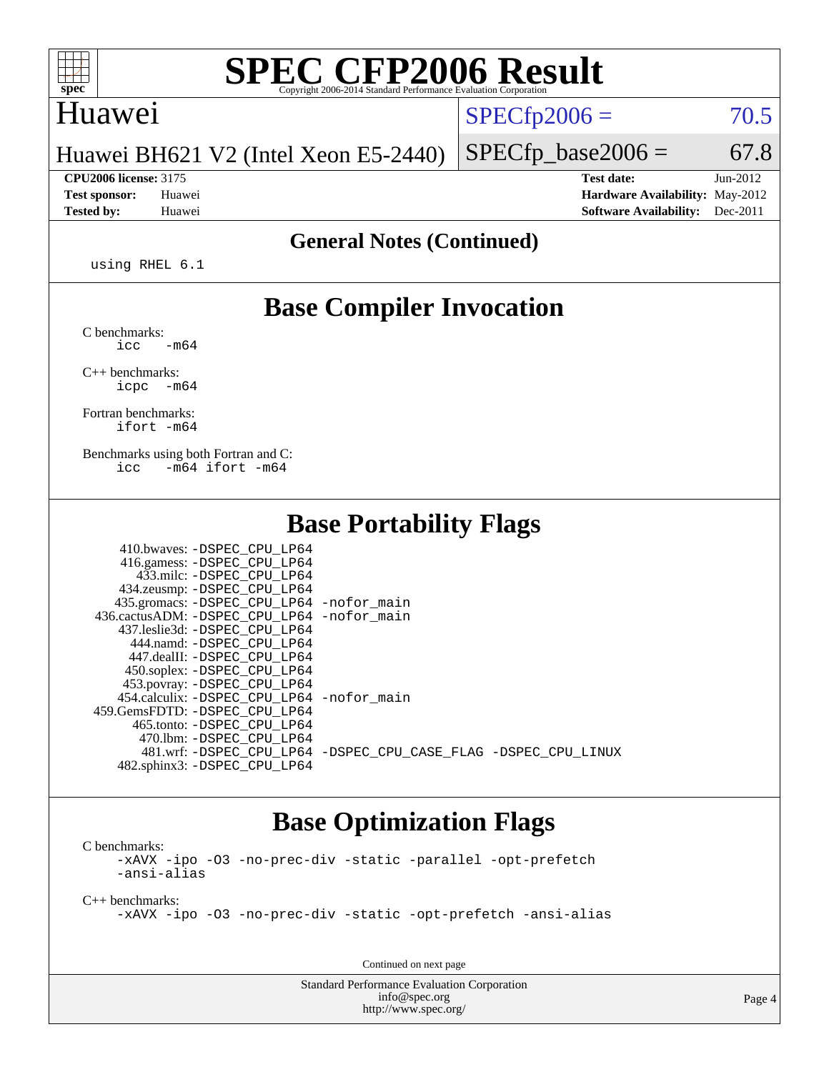

#### Huawei

 $SPECfp2006 = 70.5$  $SPECfp2006 = 70.5$ 

Huawei BH621 V2 (Intel Xeon E5-2440)

**[CPU2006 license:](http://www.spec.org/auto/cpu2006/Docs/result-fields.html#CPU2006license)** 3175 **[Test date:](http://www.spec.org/auto/cpu2006/Docs/result-fields.html#Testdate)** Jun-2012 **[Test sponsor:](http://www.spec.org/auto/cpu2006/Docs/result-fields.html#Testsponsor)** Huawei **[Hardware Availability:](http://www.spec.org/auto/cpu2006/Docs/result-fields.html#HardwareAvailability)** May-2012 **[Tested by:](http://www.spec.org/auto/cpu2006/Docs/result-fields.html#Testedby)** Huawei **[Software Availability:](http://www.spec.org/auto/cpu2006/Docs/result-fields.html#SoftwareAvailability)** Dec-2011

 $SPECTp\_base2006 = 67.8$ 

#### **[General Notes \(Continued\)](http://www.spec.org/auto/cpu2006/Docs/result-fields.html#GeneralNotes)**

using RHEL 6.1

### **[Base Compiler Invocation](http://www.spec.org/auto/cpu2006/Docs/result-fields.html#BaseCompilerInvocation)**

[C benchmarks](http://www.spec.org/auto/cpu2006/Docs/result-fields.html#Cbenchmarks):  $\text{icc}$   $-\text{m64}$ 

[C++ benchmarks:](http://www.spec.org/auto/cpu2006/Docs/result-fields.html#CXXbenchmarks) [icpc -m64](http://www.spec.org/cpu2006/results/res2012q3/cpu2006-20120629-23277.flags.html#user_CXXbase_intel_icpc_64bit_bedb90c1146cab66620883ef4f41a67e)

[Fortran benchmarks](http://www.spec.org/auto/cpu2006/Docs/result-fields.html#Fortranbenchmarks): [ifort -m64](http://www.spec.org/cpu2006/results/res2012q3/cpu2006-20120629-23277.flags.html#user_FCbase_intel_ifort_64bit_ee9d0fb25645d0210d97eb0527dcc06e)

[Benchmarks using both Fortran and C](http://www.spec.org/auto/cpu2006/Docs/result-fields.html#BenchmarksusingbothFortranandC): [icc -m64](http://www.spec.org/cpu2006/results/res2012q3/cpu2006-20120629-23277.flags.html#user_CC_FCbase_intel_icc_64bit_0b7121f5ab7cfabee23d88897260401c) [ifort -m64](http://www.spec.org/cpu2006/results/res2012q3/cpu2006-20120629-23277.flags.html#user_CC_FCbase_intel_ifort_64bit_ee9d0fb25645d0210d97eb0527dcc06e)

 $410.1$  behaves  $\overline{O}$ 

#### **[Base Portability Flags](http://www.spec.org/auto/cpu2006/Docs/result-fields.html#BasePortabilityFlags)**

| 410.0Waves: -DSPEC CPU LP64                |                                                                |
|--------------------------------------------|----------------------------------------------------------------|
| 416.gamess: -DSPEC_CPU_LP64                |                                                                |
| 433.milc: -DSPEC CPU LP64                  |                                                                |
| 434.zeusmp: -DSPEC_CPU_LP64                |                                                                |
| 435.gromacs: -DSPEC_CPU_LP64 -nofor_main   |                                                                |
| 436.cactusADM: -DSPEC CPU LP64 -nofor main |                                                                |
| 437.leslie3d: -DSPEC CPU LP64              |                                                                |
| 444.namd: -DSPEC CPU LP64                  |                                                                |
| 447.dealII: -DSPEC CPU LP64                |                                                                |
| 450.soplex: -DSPEC_CPU_LP64                |                                                                |
| 453.povray: -DSPEC_CPU_LP64                |                                                                |
| 454.calculix: -DSPEC CPU LP64 -nofor main  |                                                                |
| 459.GemsFDTD: -DSPEC CPU LP64              |                                                                |
| 465.tonto: -DSPEC CPU LP64                 |                                                                |
| 470.1bm: - DSPEC CPU LP64                  |                                                                |
|                                            | 481.wrf: -DSPEC CPU_LP64 -DSPEC_CPU_CASE_FLAG -DSPEC_CPU_LINUX |
| 482.sphinx3: -DSPEC CPU LP64               |                                                                |
|                                            |                                                                |

#### **[Base Optimization Flags](http://www.spec.org/auto/cpu2006/Docs/result-fields.html#BaseOptimizationFlags)**

[C benchmarks](http://www.spec.org/auto/cpu2006/Docs/result-fields.html#Cbenchmarks): [-xAVX](http://www.spec.org/cpu2006/results/res2012q3/cpu2006-20120629-23277.flags.html#user_CCbase_f-xAVX) [-ipo](http://www.spec.org/cpu2006/results/res2012q3/cpu2006-20120629-23277.flags.html#user_CCbase_f-ipo) [-O3](http://www.spec.org/cpu2006/results/res2012q3/cpu2006-20120629-23277.flags.html#user_CCbase_f-O3) [-no-prec-div](http://www.spec.org/cpu2006/results/res2012q3/cpu2006-20120629-23277.flags.html#user_CCbase_f-no-prec-div) [-static](http://www.spec.org/cpu2006/results/res2012q3/cpu2006-20120629-23277.flags.html#user_CCbase_f-static) [-parallel](http://www.spec.org/cpu2006/results/res2012q3/cpu2006-20120629-23277.flags.html#user_CCbase_f-parallel) [-opt-prefetch](http://www.spec.org/cpu2006/results/res2012q3/cpu2006-20120629-23277.flags.html#user_CCbase_f-opt-prefetch) [-ansi-alias](http://www.spec.org/cpu2006/results/res2012q3/cpu2006-20120629-23277.flags.html#user_CCbase_f-ansi-alias)

[C++ benchmarks:](http://www.spec.org/auto/cpu2006/Docs/result-fields.html#CXXbenchmarks) [-xAVX](http://www.spec.org/cpu2006/results/res2012q3/cpu2006-20120629-23277.flags.html#user_CXXbase_f-xAVX) [-ipo](http://www.spec.org/cpu2006/results/res2012q3/cpu2006-20120629-23277.flags.html#user_CXXbase_f-ipo) [-O3](http://www.spec.org/cpu2006/results/res2012q3/cpu2006-20120629-23277.flags.html#user_CXXbase_f-O3) [-no-prec-div](http://www.spec.org/cpu2006/results/res2012q3/cpu2006-20120629-23277.flags.html#user_CXXbase_f-no-prec-div) [-static](http://www.spec.org/cpu2006/results/res2012q3/cpu2006-20120629-23277.flags.html#user_CXXbase_f-static) [-opt-prefetch](http://www.spec.org/cpu2006/results/res2012q3/cpu2006-20120629-23277.flags.html#user_CXXbase_f-opt-prefetch) [-ansi-alias](http://www.spec.org/cpu2006/results/res2012q3/cpu2006-20120629-23277.flags.html#user_CXXbase_f-ansi-alias)

Continued on next page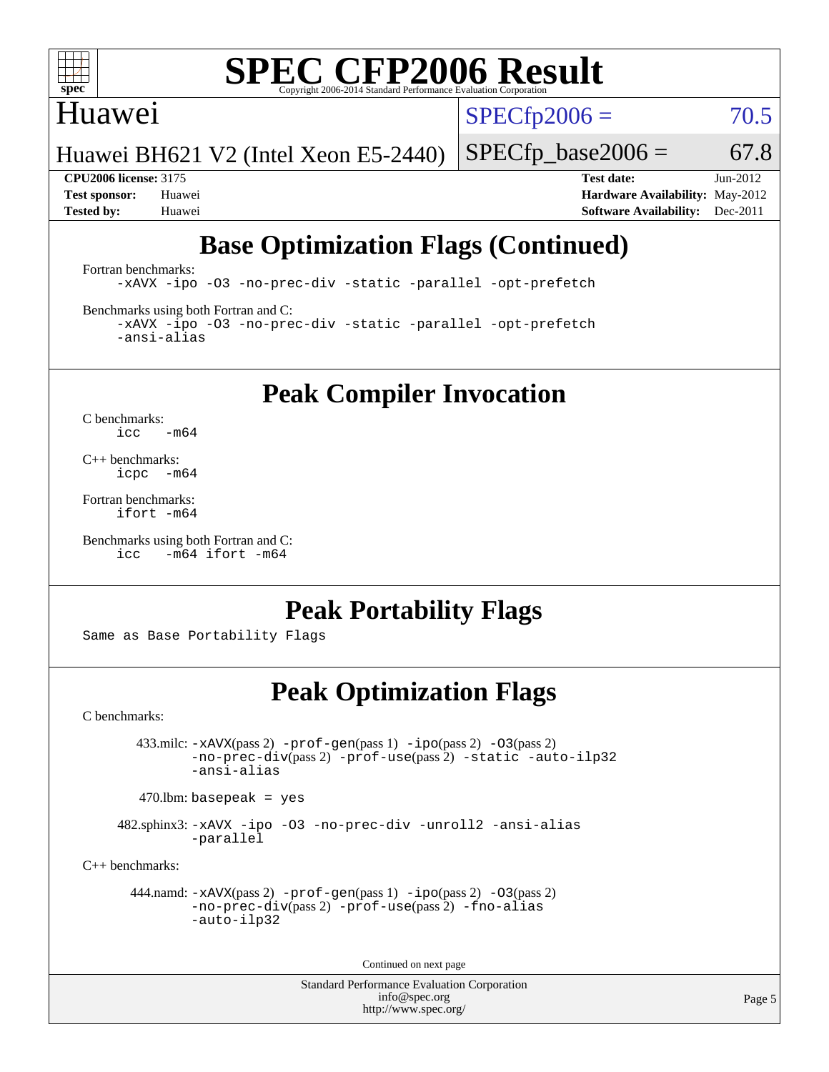

#### Huawei

 $SPECTp2006 = 70.5$ 

Huawei BH621 V2 (Intel Xeon E5-2440)

 $SPECfp\_base2006 = 67.8$ 

**[CPU2006 license:](http://www.spec.org/auto/cpu2006/Docs/result-fields.html#CPU2006license)** 3175 **[Test date:](http://www.spec.org/auto/cpu2006/Docs/result-fields.html#Testdate)** Jun-2012 **[Test sponsor:](http://www.spec.org/auto/cpu2006/Docs/result-fields.html#Testsponsor)** Huawei **[Hardware Availability:](http://www.spec.org/auto/cpu2006/Docs/result-fields.html#HardwareAvailability)** May-2012 **[Tested by:](http://www.spec.org/auto/cpu2006/Docs/result-fields.html#Testedby)** Huawei **[Software Availability:](http://www.spec.org/auto/cpu2006/Docs/result-fields.html#SoftwareAvailability)** Dec-2011

## **[Base Optimization Flags \(Continued\)](http://www.spec.org/auto/cpu2006/Docs/result-fields.html#BaseOptimizationFlags)**

[Fortran benchmarks](http://www.spec.org/auto/cpu2006/Docs/result-fields.html#Fortranbenchmarks):

[-xAVX](http://www.spec.org/cpu2006/results/res2012q3/cpu2006-20120629-23277.flags.html#user_FCbase_f-xAVX) [-ipo](http://www.spec.org/cpu2006/results/res2012q3/cpu2006-20120629-23277.flags.html#user_FCbase_f-ipo) [-O3](http://www.spec.org/cpu2006/results/res2012q3/cpu2006-20120629-23277.flags.html#user_FCbase_f-O3) [-no-prec-div](http://www.spec.org/cpu2006/results/res2012q3/cpu2006-20120629-23277.flags.html#user_FCbase_f-no-prec-div) [-static](http://www.spec.org/cpu2006/results/res2012q3/cpu2006-20120629-23277.flags.html#user_FCbase_f-static) [-parallel](http://www.spec.org/cpu2006/results/res2012q3/cpu2006-20120629-23277.flags.html#user_FCbase_f-parallel) [-opt-prefetch](http://www.spec.org/cpu2006/results/res2012q3/cpu2006-20120629-23277.flags.html#user_FCbase_f-opt-prefetch)

[Benchmarks using both Fortran and C](http://www.spec.org/auto/cpu2006/Docs/result-fields.html#BenchmarksusingbothFortranandC):

[-xAVX](http://www.spec.org/cpu2006/results/res2012q3/cpu2006-20120629-23277.flags.html#user_CC_FCbase_f-xAVX) [-ipo](http://www.spec.org/cpu2006/results/res2012q3/cpu2006-20120629-23277.flags.html#user_CC_FCbase_f-ipo) [-O3](http://www.spec.org/cpu2006/results/res2012q3/cpu2006-20120629-23277.flags.html#user_CC_FCbase_f-O3) [-no-prec-div](http://www.spec.org/cpu2006/results/res2012q3/cpu2006-20120629-23277.flags.html#user_CC_FCbase_f-no-prec-div) [-static](http://www.spec.org/cpu2006/results/res2012q3/cpu2006-20120629-23277.flags.html#user_CC_FCbase_f-static) [-parallel](http://www.spec.org/cpu2006/results/res2012q3/cpu2006-20120629-23277.flags.html#user_CC_FCbase_f-parallel) [-opt-prefetch](http://www.spec.org/cpu2006/results/res2012q3/cpu2006-20120629-23277.flags.html#user_CC_FCbase_f-opt-prefetch) [-ansi-alias](http://www.spec.org/cpu2006/results/res2012q3/cpu2006-20120629-23277.flags.html#user_CC_FCbase_f-ansi-alias)

**[Peak Compiler Invocation](http://www.spec.org/auto/cpu2006/Docs/result-fields.html#PeakCompilerInvocation)**

[C benchmarks](http://www.spec.org/auto/cpu2006/Docs/result-fields.html#Cbenchmarks):  $\text{icc}$  -m64

[C++ benchmarks:](http://www.spec.org/auto/cpu2006/Docs/result-fields.html#CXXbenchmarks) [icpc -m64](http://www.spec.org/cpu2006/results/res2012q3/cpu2006-20120629-23277.flags.html#user_CXXpeak_intel_icpc_64bit_bedb90c1146cab66620883ef4f41a67e)

[Fortran benchmarks](http://www.spec.org/auto/cpu2006/Docs/result-fields.html#Fortranbenchmarks): [ifort -m64](http://www.spec.org/cpu2006/results/res2012q3/cpu2006-20120629-23277.flags.html#user_FCpeak_intel_ifort_64bit_ee9d0fb25645d0210d97eb0527dcc06e)

[Benchmarks using both Fortran and C](http://www.spec.org/auto/cpu2006/Docs/result-fields.html#BenchmarksusingbothFortranandC): [icc -m64](http://www.spec.org/cpu2006/results/res2012q3/cpu2006-20120629-23277.flags.html#user_CC_FCpeak_intel_icc_64bit_0b7121f5ab7cfabee23d88897260401c) [ifort -m64](http://www.spec.org/cpu2006/results/res2012q3/cpu2006-20120629-23277.flags.html#user_CC_FCpeak_intel_ifort_64bit_ee9d0fb25645d0210d97eb0527dcc06e)

## **[Peak Portability Flags](http://www.spec.org/auto/cpu2006/Docs/result-fields.html#PeakPortabilityFlags)**

Same as Base Portability Flags

## **[Peak Optimization Flags](http://www.spec.org/auto/cpu2006/Docs/result-fields.html#PeakOptimizationFlags)**

[C benchmarks](http://www.spec.org/auto/cpu2006/Docs/result-fields.html#Cbenchmarks):

 433.milc: [-xAVX](http://www.spec.org/cpu2006/results/res2012q3/cpu2006-20120629-23277.flags.html#user_peakPASS2_CFLAGSPASS2_LDFLAGS433_milc_f-xAVX)(pass 2) [-prof-gen](http://www.spec.org/cpu2006/results/res2012q3/cpu2006-20120629-23277.flags.html#user_peakPASS1_CFLAGSPASS1_LDFLAGS433_milc_prof_gen_e43856698f6ca7b7e442dfd80e94a8fc)(pass 1) [-ipo](http://www.spec.org/cpu2006/results/res2012q3/cpu2006-20120629-23277.flags.html#user_peakPASS2_CFLAGSPASS2_LDFLAGS433_milc_f-ipo)(pass 2) [-O3](http://www.spec.org/cpu2006/results/res2012q3/cpu2006-20120629-23277.flags.html#user_peakPASS2_CFLAGSPASS2_LDFLAGS433_milc_f-O3)(pass 2) [-no-prec-div](http://www.spec.org/cpu2006/results/res2012q3/cpu2006-20120629-23277.flags.html#user_peakPASS2_CFLAGSPASS2_LDFLAGS433_milc_f-no-prec-div)(pass 2) [-prof-use](http://www.spec.org/cpu2006/results/res2012q3/cpu2006-20120629-23277.flags.html#user_peakPASS2_CFLAGSPASS2_LDFLAGS433_milc_prof_use_bccf7792157ff70d64e32fe3e1250b55)(pass 2) [-static](http://www.spec.org/cpu2006/results/res2012q3/cpu2006-20120629-23277.flags.html#user_peakOPTIMIZE433_milc_f-static) [-auto-ilp32](http://www.spec.org/cpu2006/results/res2012q3/cpu2006-20120629-23277.flags.html#user_peakCOPTIMIZE433_milc_f-auto-ilp32) [-ansi-alias](http://www.spec.org/cpu2006/results/res2012q3/cpu2006-20120629-23277.flags.html#user_peakCOPTIMIZE433_milc_f-ansi-alias)

 $470.$ lbm: basepeak = yes

 482.sphinx3: [-xAVX](http://www.spec.org/cpu2006/results/res2012q3/cpu2006-20120629-23277.flags.html#user_peakOPTIMIZE482_sphinx3_f-xAVX) [-ipo](http://www.spec.org/cpu2006/results/res2012q3/cpu2006-20120629-23277.flags.html#user_peakOPTIMIZE482_sphinx3_f-ipo) [-O3](http://www.spec.org/cpu2006/results/res2012q3/cpu2006-20120629-23277.flags.html#user_peakOPTIMIZE482_sphinx3_f-O3) [-no-prec-div](http://www.spec.org/cpu2006/results/res2012q3/cpu2006-20120629-23277.flags.html#user_peakOPTIMIZE482_sphinx3_f-no-prec-div) [-unroll2](http://www.spec.org/cpu2006/results/res2012q3/cpu2006-20120629-23277.flags.html#user_peakCOPTIMIZE482_sphinx3_f-unroll_784dae83bebfb236979b41d2422d7ec2) [-ansi-alias](http://www.spec.org/cpu2006/results/res2012q3/cpu2006-20120629-23277.flags.html#user_peakCOPTIMIZE482_sphinx3_f-ansi-alias) [-parallel](http://www.spec.org/cpu2006/results/res2012q3/cpu2006-20120629-23277.flags.html#user_peakCOPTIMIZE482_sphinx3_f-parallel)

[C++ benchmarks:](http://www.spec.org/auto/cpu2006/Docs/result-fields.html#CXXbenchmarks)

```
 444.namd: -xAVX(pass 2) -prof-gen(pass 1) -ipo(pass 2) -O3(pass 2)
         -no-prec-div(pass 2) -prof-use(pass 2) -fno-alias
         -auto-ilp32
```
Continued on next page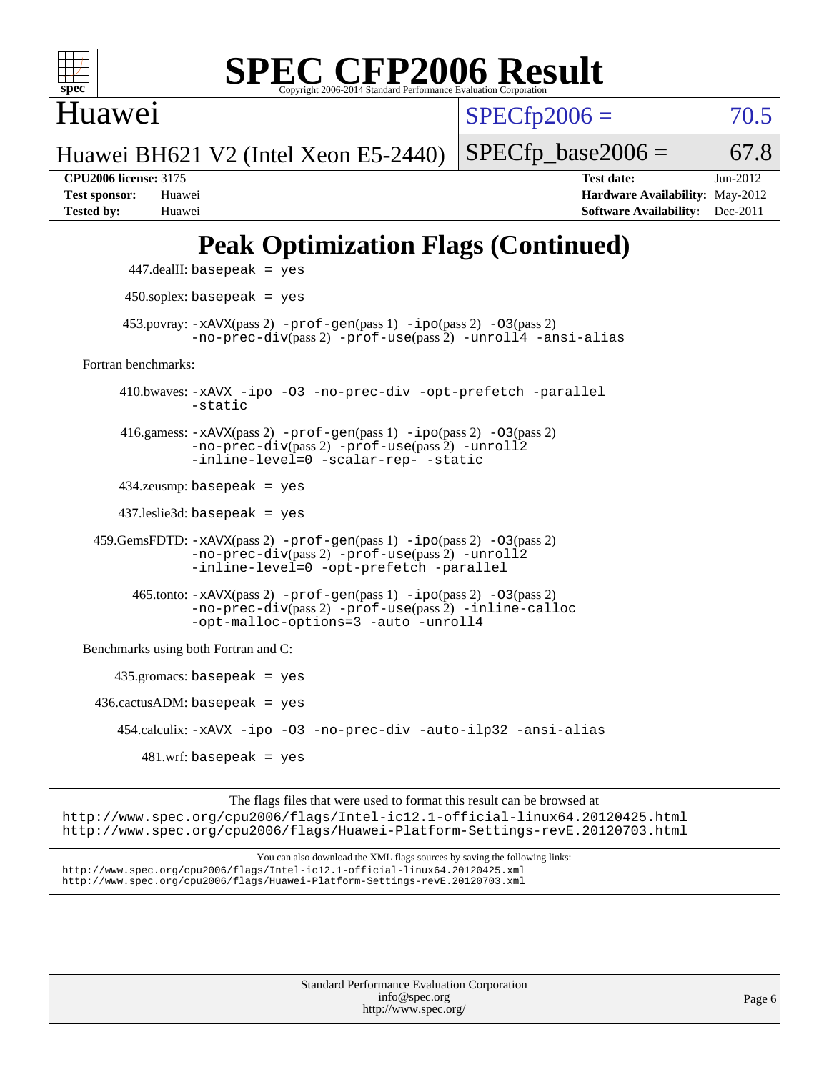

Huawei

 $SPECfp2006 = 70.5$  $SPECfp2006 = 70.5$ 

Huawei BH621 V2 (Intel Xeon E5-2440)

 $SPECTp\_base2006 = 67.8$ 

**[CPU2006 license:](http://www.spec.org/auto/cpu2006/Docs/result-fields.html#CPU2006license)** 3175 **[Test date:](http://www.spec.org/auto/cpu2006/Docs/result-fields.html#Testdate)** Jun-2012 **[Test sponsor:](http://www.spec.org/auto/cpu2006/Docs/result-fields.html#Testsponsor)** Huawei **[Hardware Availability:](http://www.spec.org/auto/cpu2006/Docs/result-fields.html#HardwareAvailability)** May-2012 **[Tested by:](http://www.spec.org/auto/cpu2006/Docs/result-fields.html#Testedby)** Huawei **[Software Availability:](http://www.spec.org/auto/cpu2006/Docs/result-fields.html#SoftwareAvailability)** Dec-2011

## **[Peak Optimization Flags \(Continued\)](http://www.spec.org/auto/cpu2006/Docs/result-fields.html#PeakOptimizationFlags)**

```
 447.dealII: basepeak = yes
          450.soplex: basepeak = yes
        453.povray: -xAVX(pass 2) -prof-gen(pass 1) -ipo(pass 2) -03(pass 2)
                   -no-prec-div(pass 2) -prof-use(pass 2) -unroll4 -ansi-alias
   Fortran benchmarks: 
         410.bwaves: -xAVX -ipo -O3 -no-prec-div -opt-prefetch -parallel
                   -static
         416.gamess: -xAVX(pass 2) -prof-gen(pass 1) -ipo(pass 2) -O3(pass 2)
                   -no-prec-div(pass 2) -prof-use(pass 2) -unroll2
                  -inline-level=0 -scalar-rep- -static
         434.zeusmp: basepeak = yes
         437.leslie3d: basepeak = yes
     459.GemsFDTD: -xAVX(pass 2) -prof-gen(pass 1) -ipo(pass 2) -O3(pass 2)
                  -no-prec-div(pass 2) -prof-use(pass 2) -unroll2
                  -inline-level=0 -opt-prefetch -parallel
          465.tonto: -xAVX(pass 2) -prof-gen(pass 1) -po(pass 2) -03(pass 2)
                   -no-prec-div(pass 2) -prof-use(pass 2) -inline-calloc
                   -opt-malloc-options=3-auto-unroll4
   Benchmarks using both Fortran and C: 
        435.gromacs: basepeak = yes
    436.cactusADM:basepeak = yes 454.calculix: -xAVX -ipo -O3 -no-prec-div -auto-ilp32 -ansi-alias
           481.wrf: basepeak = yes
                        The flags files that were used to format this result can be browsed at
http://www.spec.org/cpu2006/flags/Intel-ic12.1-official-linux64.20120425.html
http://www.spec.org/cpu2006/flags/Huawei-Platform-Settings-revE.20120703.html
                            You can also download the XML flags sources by saving the following links:
```
<http://www.spec.org/cpu2006/flags/Intel-ic12.1-official-linux64.20120425.xml> <http://www.spec.org/cpu2006/flags/Huawei-Platform-Settings-revE.20120703.xml>